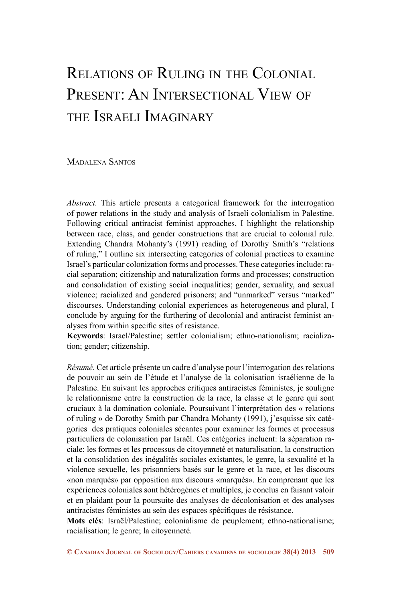# Relations of Ruling in the Colonial PRESENT: AN INTERSECTIONAL VIEW OF the Israeli Imaginary

Madalena Santos

*Abstract.* This article presents a categorical framework for the interrogation of power relations in the study and analysis of Israeli colonialism in Palestine. Following critical antiracist feminist approaches, I highlight the relationship between race, class, and gender constructions that are crucial to colonial rule. Extending Chandra Mohanty's (1991) reading of Dorothy Smith's "relations of ruling," I outline six intersecting categories of colonial practices to examine Israel's particular colonization forms and processes. These categories include: racial separation; citizenship and naturalization forms and processes; construction and consolidation of existing social inequalities; gender, sexuality, and sexual violence; racialized and gendered prisoners; and "unmarked" versus "marked" discourses. Understanding colonial experiences as heterogeneous and plural, I conclude by arguing for the furthering of decolonial and antiracist feminist analyses from within specific sites of resistance.

**Keywords**: Israel/Palestine; settler colonialism; ethno-nationalism; racialization; gender; citizenship.

*Résumé.* Cet article présente un cadre d'analyse pour l'interrogation des relations de pouvoir au sein de l'étude et l'analyse de la colonisation israélienne de la Palestine. En suivant les approches critiques antiracistes féministes, je souligne le relationnisme entre la construction de la race, la classe et le genre qui sont cruciaux à la domination coloniale. Poursuivant l'interprétation des « relations of ruling » de Dorothy Smith par Chandra Mohanty (1991), j'esquisse six catégories des pratiques coloniales sécantes pour examiner les formes et processus particuliers de colonisation par Israël. Ces catégories incluent: la séparation raciale; les formes et les processus de citoyenneté et naturalisation, la construction et la consolidation des inégalités sociales existantes, le genre, la sexualité et la violence sexuelle, les prisonniers basés sur le genre et la race, et les discours «non marqués» par opposition aux discours «marqués». En comprenant que les expériences coloniales sont hétérogènes et multiples, je conclus en faisant valoir et en plaidant pour la poursuite des analyses de décolonisation et des analyses antiracistes féministes au sein des espaces spécifiques de résistance.

**Mots clés**: Israël/Palestine; colonialisme de peuplement; ethno-nationalisme; racialisation; le genre; la citoyenneté.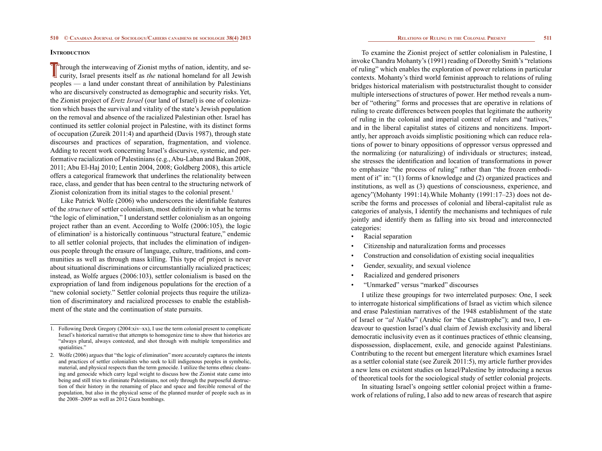# **INTRODUCTION**

**T**hrough the interweaving of Zionist myths of nation, identity, and security, Israel presents itself as *the* national homeland for all Jewish peoples — a land under constant threat of annihilation by Palestinians who are discursively constructed as demographic and security risks. Yet, the Zionist project of *Eretz Israel* (our land of Israel) is one of colonization which bases the survival and vitality of the state's Jewish population on the removal and absence of the racialized Palestinian other. Israel has continued its settler colonial project in Palestine, with its distinct forms of occupation (Zureik 2011:4) and apartheid (Davis 1987), through state discourses and practices of separation, fragmentation, and violence. Adding to recent work concerning Israel's discursive, systemic, and performative racialization of Palestinians (e.g., Abu-Laban and Bakan 2008, 2011; Abu El-Haj 2010; Lentin 2004, 2008; Goldberg 2008), this article offers a categorical framework that underlines the relationality between race, class, and gender that has been central to the structuring network of Zionist colonization from its initial stages to the colonial present.<sup>1</sup>

Like Patrick Wolfe (2006) who underscores the identifiable features of the *structure* of settler colonialism, most definitively in what he terms "the logic of elimination," I understand settler colonialism as an ongoing project rather than an event. According to Wolfe (2006:105), the logic of elimination<sup>2</sup> is a historically continuous "structural feature," endemic to all settler colonial projects, that includes the elimination of indigenous people through the erasure of language, culture, traditions, and communities as well as through mass killing. This type of project is never about situational discriminations or circumstantially racialized practices; instead, as Wolfe argues (2006:103), settler colonialism is based on the expropriation of land from indigenous populations for the erection of a "new colonial society." Settler colonial projects thus require the utilization of discriminatory and racialized processes to enable the establishment of the state and the continuation of state pursuits.

- 1. Following Derek Gregory (2004:xiv–xx), I use the term colonial present to complicate Israel's historical narrative that attempts to homogenize time to show that histories are "always plural, always contested, and shot through with multiple temporalities and spatialities."
- 2. Wolfe (2006) argues that "the logic of elimination" more accurately captures the intents and practices of settler colonialists who seek to kill indigenous peoples in symbolic, material, and physical respects than the term genocide. I utilize the terms ethnic cleansing and genocide which carry legal weight to discuss how the Zionist state came into being and still tries to eliminate Palestinians, not only through the purposeful destruction of their history in the renaming of place and space and forcible removal of the population, but also in the physical sense of the planned murder of people such as in the 2008–2009 as well as 2012 Gaza bombings.

To examine the Zionist project of settler colonialism in Palestine, I invoke Chandra Mohanty's (1991) reading of Dorothy Smith's "relations of ruling" which enables the exploration of power relations in particular contexts. Mohanty's third world feminist approach to relations of ruling bridges historical materialism with poststructuralist thought to consider multiple intersections of structures of power. Her method reveals a number of "othering" forms and processes that are operative in relations of ruling to create differences between peoples that legitimate the authority of ruling in the colonial and imperial context of rulers and "natives," and in the liberal capitalist states of citizens and noncitizens. Importantly, her approach avoids simplistic positioning which can reduce relations of power to binary oppositions of oppressor versus oppressed and the normalizing (or naturalizing) of individuals or structures; instead, she stresses the identification and location of transformations in power to emphasize "the process of ruling" rather than "the frozen embodiment of it" in: "(1) forms of knowledge and (2) organized practices and institutions, as well as (3) questions of consciousness, experience, and agency"(Mohanty 1991:14).While Mohanty (1991:17–23) does not describe the forms and processes of colonial and liberal-capitalist rule as categories of analysis, I identify the mechanisms and techniques of rule jointly and identify them as falling into six broad and interconnected categories:

- Racial separation
- Citizenship and naturalization forms and processes
- Construction and consolidation of existing social inequalities
- Gender, sexuality, and sexual violence
- Racialized and gendered prisoners
- "Unmarked" versus "marked" discourses

I utilize these groupings for two interrelated purposes: One, I seek to interrogate historical simplifications of Israel as victim which silence and erase Palestinian narratives of the 1948 establishment of the state of Israel or "*al Nakba*" (Arabic for "the Catastrophe"); and two, I endeavour to question Israel's dual claim of Jewish exclusivity and liberal democratic inclusivity even as it continues practices of ethnic cleansing, dispossession, displacement, exile, and genocide against Palestinians. Contributing to the recent but emergent literature which examines Israel as a settler colonial state (see Zureik 2011:5), my article further provides a new lens on existent studies on Israel/Palestine by introducing a nexus of theoretical tools for the sociological study of settler colonial projects.

In situating Israel's ongoing settler colonial project within a framework of relations of ruling, I also add to new areas of research that aspire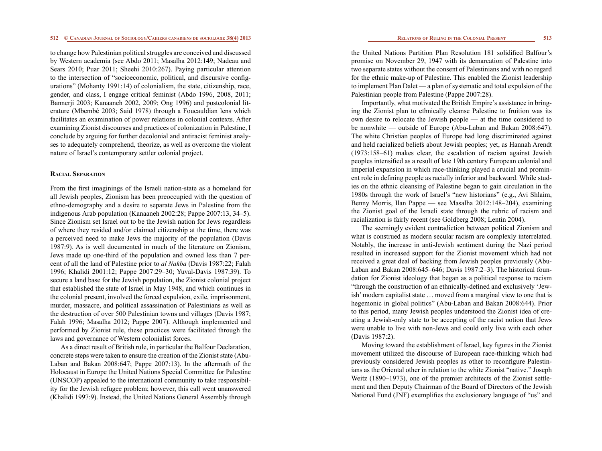to change how Palestinian political struggles are conceived and discussed by Western academia (see Abdo 2011; Masalha 2012:149; Nadeau and Sears 2010; Puar 2011; Sheehi 2010:267). Paying particular attention to the intersection of "socioeconomic, political, and discursive configurations" (Mohanty 1991:14) of colonialism, the state, citizenship, race, gender, and class, I engage critical feminist (Abdo 1996, 2008, 2011; Bannerji 2003; Kanaaneh 2002, 2009; Ong 1996) and postcolonial literature (Mbembé 2003; Said 1978) through a Foucauldian lens which facilitates an examination of power relations in colonial contexts. After examining Zionist discourses and practices of colonization in Palestine, I conclude by arguing for further decolonial and antiracist feminist analyses to adequately comprehend, theorize, as well as overcome the violent nature of Israel's contemporary settler colonial project.

# **Racial Separation**

From the first imaginings of the Israeli nation-state as a homeland for all Jewish peoples, Zionism has been preoccupied with the question of ethno-demography and a desire to separate Jews in Palestine from the indigenous Arab population (Kanaaneh 2002:28; Pappe 2007:13, 34–5). Since Zionism set Israel out to be the Jewish nation for Jews regardless of where they resided and/or claimed citizenship at the time, there was a perceived need to make Jews the majority of the population (Davis 1987:9). As is well documented in much of the literature on Zionism, Jews made up one-third of the population and owned less than 7 percent of all the land of Palestine prior to *al Nakba* (Davis 1987:22; Falah 1996; Khalidi 2001:12; Pappe 2007:29–30; Yuval-Davis 1987:39). To secure a land base for the Jewish population, the Zionist colonial project that established the state of Israel in May 1948, and which continues in the colonial present, involved the forced expulsion, exile, imprisonment, murder, massacre, and political assassination of Palestinians as well as the destruction of over 500 Palestinian towns and villages (Davis 1987; Falah 1996; Masalha 2012; Pappe 2007). Although implemented and performed by Zionist rule, these practices were facilitated through the laws and governance of Western colonialist forces.

As a direct result of British rule, in particular the Balfour Declaration, concrete steps were taken to ensure the creation of the Zionist state (Abu-Laban and Bakan 2008:647; Pappe 2007:13). In the aftermath of the Holocaust in Europe the United Nations Special Committee for Palestine (UNSCOP) appealed to the international community to take responsibility for the Jewish refugee problem; however, this call went unanswered (Khalidi 1997:9). Instead, the United Nations General Assembly through the United Nations Partition Plan Resolution 181 solidified Balfour's promise on November 29, 1947 with its demarcation of Palestine into two separate states without the consent of Palestinians and with no regard for the ethnic make-up of Palestine. This enabled the Zionist leadership to implement Plan Dalet — a plan of systematic and total expulsion of the Palestinian people from Palestine (Pappe 2007:28).

Importantly, what motivated the British Empire's assistance in bringing the Zionist plan to ethnically cleanse Palestine to fruition was its own desire to relocate the Jewish people — at the time considered to be nonwhite — outside of Europe (Abu-Laban and Bakan 2008:647). The white Christian peoples of Europe had long discriminated against and held racialized beliefs about Jewish peoples; yet, as Hannah Arendt (1973:158–61) makes clear, the escalation of racism against Jewish peoples intensified as a result of late 19th century European colonial and imperial expansion in which race-thinking played a crucial and prominent role in defining people as racially inferior and backward. While studies on the ethnic cleansing of Palestine began to gain circulation in the 1980s through the work of Israel's "new historians" (e.g., Avi Shlaim, Benny Morris, Ilan Pappe — see Masalha 2012:148–204), examining the Zionist goal of the Israeli state through the rubric of racism and racialization is fairly recent (see Goldberg 2008; Lentin 2004).

The seemingly evident contradiction between political Zionism and what is construed as modern secular racism are complexly interrelated. Notably, the increase in anti-Jewish sentiment during the Nazi period resulted in increased support for the Zionist movement which had not received a great deal of backing from Jewish peoples previously (Abu-Laban and Bakan 2008:645–646; Davis 1987:2–3). The historical foundation for Zionist ideology that began as a political response to racism "through the construction of an ethnically-defined and exclusively 'Jewish' modern capitalist state … moved from a marginal view to one that is hegemonic in global politics" (Abu-Laban and Bakan 2008:644). Prior to this period, many Jewish peoples understood the Zionist idea of creating a Jewish-only state to be accepting of the racist notion that Jews were unable to live with non-Jews and could only live with each other (Davis 1987:2).

Moving toward the establishment of Israel, key figures in the Zionist movement utilized the discourse of European race-thinking which had previously considered Jewish peoples as other to reconfigure Palestinians as the Oriental other in relation to the white Zionist "native." Joseph Weitz (1890–1973), one of the premier architects of the Zionist settlement and then Deputy Chairman of the Board of Directors of the Jewish National Fund (JNF) exemplifies the exclusionary language of "us" and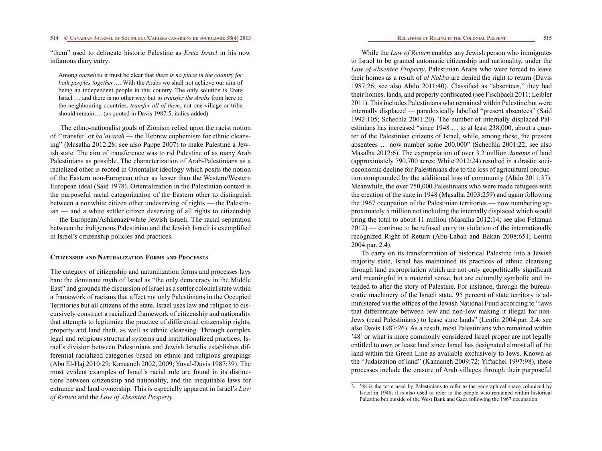"them" used to delineate historic Palestine as *Eretz Israel* in his now infamous diary entry:

Among *ourselves* it must be clear that *there is no place in the country for both peoples together*…. With the Arabs we shall not achieve our aim of being an independent people in this country. The only solution is Eretz Israel … and there is no other way but to *transfer the Arabs* from here to the neighbouring countries, *transfer all of them*, not one village or tribe should remain.... (as quoted in Davis 1987:5; italics added)

The ethno-nationalist goals of Zionism relied upon the racist notion of "'transfer' or *ha'avarah* — the Hebrew euphemism for ethnic cleansing" (Masalha 2012:28; see also Pappe 2007) to make Palestine a Jewish state. The aim of transference was to rid Palestine of as many Arab Palestinians as possible. The characterization of Arab-Palestinians as a racialized other is rooted in Orientalist ideology which posits the notion of the Eastern non-European other as lesser than the Western/Western European ideal (Said 1978). Orientalization in the Palestinian context is the purposeful racial categorization of the Eastern other to distinguish between a nonwhite citizen other undeserving of rights — the Palestinian — and a white settler citizen deserving of all rights to citizenship — the European/Ashkenazi/white Jewish Israeli. The racial separation between the indigenous Palestinian and the Jewish Israeli is exemplified in Israel's citizenship policies and practices.

# **Citizenship and Naturalization Forms and Processes**

The category of citizenship and naturalization forms and processes lays bare the dominant myth of Israel as "the only democracy in the Middle East" and grounds the discussion of Israel as a settler colonial state within a framework of racisms that affect not only Palestinians in the Occupied Territories but all citizens of the state. Israel uses law and religion to discursively construct a racialized framework of citizenship and nationality that attempts to legitimize the practice of differential citizenship rights, property and land theft, as well as ethnic cleansing. Through complex legal and religious structural systems and institutionalized practices, Israel's division between Palestinians and Jewish Israelis establishes differential racialized categories based on ethnic and religious groupings (Abu El-Haj 2010:29; Kanaaneh 2002, 2009; Yuval-Davis 1987:39). The most evident examples of Israel's racial rule are found in its distinctions between citizenship and nationality, and the inequitable laws for entrance and land ownership. This is especially apparent in Israel's *Law of Return* and the *Law of Absentee Property*.

While the *Law of Return* enables any Jewish person who immigrates to Israel to be granted automatic citizenship and nationality, under the *Law of Absentee Property*, Palestinian Arabs who were forced to leave their homes as a result of *al Nakba* are denied the right to return (Davis 1987:26; see also Abdo 2011:40). Classified as "absentees," they had their homes, lands, and property confiscated (see Fischbach 2011; Leibler 2011). This includes Palestinians who remained within Palestine but were internally displaced — paradoxically labelled "present absentees" (Said 1992:105; Schechla 2001:20). The number of internally displaced Palestinians has increased "since 1948 … to at least 238,000, about a quarter of the Palestinian citizens of Israel, while, among these, the present absentees … now number some 200,000" (Schechla 2001:22; see also Masalha 2012:6). The expropriation of over 3.2 million *dunams* of land (approximately 790,700 acres; White 2012:24) resulted in a drastic socioeconomic decline for Palestinians due to the loss of agricultural production compounded by the additional loss of community (Abdo 2011:37). Meanwhile, the over 750,000 Palestinians who were made refugees with the creation of the state in 1948 (Masalha 2003:259) and again following the 1967 occupation of the Palestinian territories — now numbering approximately 5 million not including the internally displaced which would bring the total to about 11 million (Masalha 2012:14; see also Feldman 2012) — continue to be refused entry in violation of the internationally recognized Right of Return (Abu-Laban and Bakan 2008:651; Lentin 2004:par. 2.4).

To carry on its transformation of historical Palestine into a Jewish majority state, Israel has maintained its practices of ethnic cleansing through land expropriation which are not only geopolitically significant and meaningful in a material sense, but are culturally symbolic and intended to alter the story of Palestine. For instance, through the bureaucratic machinery of the Israeli state, 95 percent of state territory is administered via the offices of the Jewish National Fund according to "laws that differentiate between Jew and non-Jew making it illegal for non-Jews (read Palestinians) to lease state lands" (Lentin 2004:par. 2.4; see also Davis 1987:26). As a result, most Palestinians who remained within '48<sup>3</sup> or what is more commonly considered Israel proper are not legally entitled to own or lease land since Israel has designated almost all of the land within the Green Line as available exclusively to Jews. Known as the "Judaization of land" (Kanaaneh 2009:72; Yiftachel 1997:98), these processes include the erasure of Arab villages through their purposeful

<sup>3.</sup> '48 is the term used by Palestinians to refer to the geographical space colonized by Israel in 1948; it is also used to refer to the people who remained within historical Palestine but outside of the West Bank and Gaza following the 1967 occupation.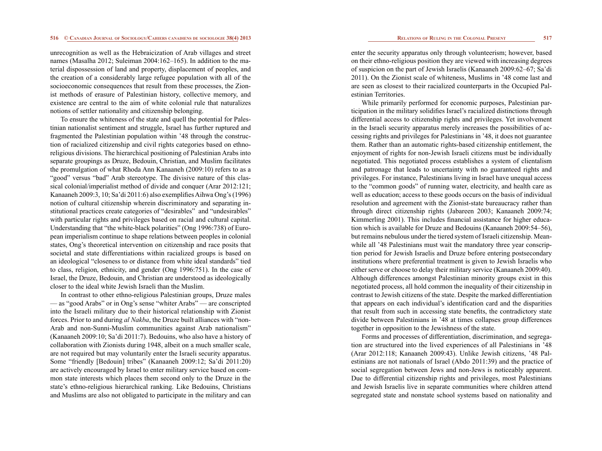unrecognition as well as the Hebraicization of Arab villages and street names (Masalha 2012; Suleiman 2004:162–165). In addition to the material dispossession of land and property, displacement of peoples, and the creation of a considerably large refugee population with all of the socioeconomic consequences that result from these processes, the Zionist methods of erasure of Palestinian history, collective memory, and existence are central to the aim of white colonial rule that naturalizes notions of settler nationality and citizenship belonging.

To ensure the whiteness of the state and quell the potential for Palestinian nationalist sentiment and struggle, Israel has further ruptured and fragmented the Palestinian population within '48 through the construction of racialized citizenship and civil rights categories based on ethnoreligious divisions. The hierarchical positioning of Palestinian Arabs into separate groupings as Druze, Bedouin, Christian, and Muslim facilitates the promulgation of what Rhoda Ann Kanaaneh (2009:10) refers to as a "good" versus "bad" Arab stereotype. The divisive nature of this classical colonial/imperialist method of divide and conquer (Arar 2012:121; Kanaaneh 2009:3, 10; Sa'di 2011:6) also exemplifies Aihwa Ong's (1996) notion of cultural citizenship wherein discriminatory and separating institutional practices create categories of "desirables" and "undesirables" with particular rights and privileges based on racial and cultural capital. Understanding that "the white-black polarities" (Ong 1996:738) of European imperialism continue to shape relations between peoples in colonial states, Ong's theoretical intervention on citizenship and race posits that societal and state differentiations within racialized groups is based on an ideological "closeness to or distance from white ideal standards" tied to class, religion, ethnicity, and gender (Ong 1996:751). In the case of Israel, the Druze, Bedouin, and Christian are understood as ideologically closer to the ideal white Jewish Israeli than the Muslim.

In contrast to other ethno-religious Palestinian groups, Druze males — as "good Arabs" or in Ong's sense "whiter Arabs" — are conscripted into the Israeli military due to their historical relationship with Zionist forces. Prior to and during *al Nakba*, the Druze built alliances with "non-Arab and non-Sunni-Muslim communities against Arab nationalism" (Kanaaneh 2009:10; Sa'di 2011:7). Bedouins, who also have a history of collaboration with Zionists during 1948, albeit on a much smaller scale, are not required but may voluntarily enter the Israeli security apparatus. Some "friendly [Bedouin] tribes" (Kanaaneh 2009:12; Sa'di 2011:20) are actively encouraged by Israel to enter military service based on common state interests which places them second only to the Druze in the state's ethno-religious hierarchical ranking. Like Bedouins, Christians and Muslims are also not obligated to participate in the military and can

enter the security apparatus only through volunteerism; however, based on their ethno-religious position they are viewed with increasing degrees of suspicion on the part of Jewish Israelis (Kanaaneh 2009:62–67; Sa'di 2011). On the Zionist scale of whiteness, Muslims in '48 come last and are seen as closest to their racialized counterparts in the Occupied Palestinian Territories.

While primarily performed for economic purposes, Palestinian participation in the military solidifies Israel's racialized distinctions through differential access to citizenship rights and privileges. Yet involvement in the Israeli security apparatus merely increases the possibilities of accessing rights and privileges for Palestinians in '48, it does not guarantee them. Rather than an automatic rights-based citizenship entitlement, the enjoyment of rights for non-Jewish Israeli citizens must be individually negotiated. This negotiated process establishes a system of clientalism and patronage that leads to uncertainty with no guaranteed rights and privileges. For instance, Palestinians living in Israel have unequal access to the "common goods" of running water, electricity, and health care as well as education; access to these goods occurs on the basis of individual resolution and agreement with the Zionist-state bureaucracy rather than through direct citizenship rights (Jabareen 2003; Kanaaneh 2009:74; Kimmerling 2001). This includes financial assistance for higher education which is available for Druze and Bedouins (Kanaaneh 2009:54–56), but remains nebulous under the tiered system of Israeli citizenship. Meanwhile all '48 Palestinians must wait the mandatory three year conscription period for Jewish Israelis and Druze before entering postsecondary institutions where preferential treatment is given to Jewish Israelis who either serve or choose to delay their military service (Kanaaneh 2009:40). Although differences amongst Palestinian minority groups exist in this negotiated process, all hold common the inequality of their citizenship in contrast to Jewish citizens of the state. Despite the marked differentiation that appears on each individual's identification card and the disparities that result from such in accessing state benefits, the contradictory state divide between Palestinians in '48 at times collapses group differences together in opposition to the Jewishness of the state.

Forms and processes of differentiation, discrimination, and segregation are structured into the lived experiences of all Palestinians in '48 (Arar 2012:118; Kanaaneh 2009:43). Unlike Jewish citizens, '48 Palestinians are not nationals of Israel (Abdo 2011:39) and the practice of social segregation between Jews and non-Jews is noticeably apparent. Due to differential citizenship rights and privileges, most Palestinians and Jewish Israelis live in separate communities where children attend segregated state and nonstate school systems based on nationality and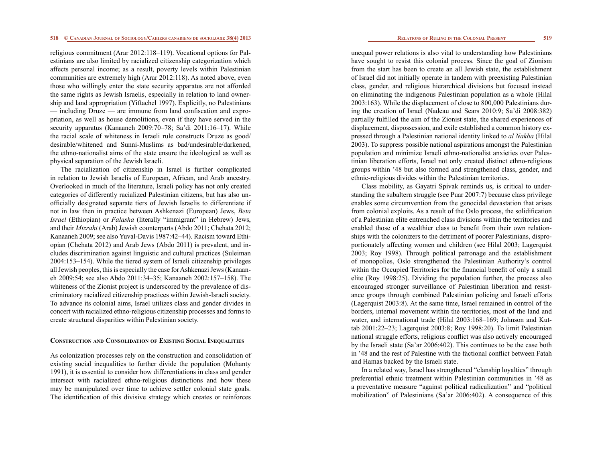religious commitment (Arar 2012:118–119). Vocational options for Palestinians are also limited by racialized citizenship categorization which affects personal income; as a result, poverty levels within Palestinian communities are extremely high (Arar 2012:118). As noted above, even those who willingly enter the state security apparatus are not afforded the same rights as Jewish Israelis, especially in relation to land ownership and land appropriation (Yiftachel 1997). Explicitly, no Palestinians — including Druze — are immune from land confiscation and expropriation, as well as house demolitions, even if they have served in the security apparatus (Kanaaneh 2009:70–78; Sa'di 2011:16–17). While the racial scale of whiteness in Israeli rule constructs Druze as good/ desirable/whitened and Sunni-Muslims as bad/undesirable/darkened, the ethno-nationalist aims of the state ensure the ideological as well as physical separation of the Jewish Israeli.

The racialization of citizenship in Israel is further complicated in relation to Jewish Israelis of European, African, and Arab ancestry. Overlooked in much of the literature, Israeli policy has not only created categories of differently racialized Palestinian citizens, but has also unofficially designated separate tiers of Jewish Israelis to differentiate if not in law then in practice between Ashkenazi (European) Jews, *Beta Israel* (Ethiopian) or *Falasha* (literally "immigrant" in Hebrew) Jews, and their *Mizrahi* (Arab) Jewish counterparts (Abdo 2011; Chehata 2012; Kanaaneh 2009; see also Yuval-Davis 1987:42–44). Racism toward Ethiopian (Chehata 2012) and Arab Jews (Abdo 2011) is prevalent, and includes discrimination against linguistic and cultural practices (Suleiman 2004:153–154). While the tiered system of Israeli citizenship privileges all Jewish peoples, this is especially the case for Ashkenazi Jews (Kanaaneh 2009:54; see also Abdo 2011:34–35; Kanaaneh 2002:157–158). The whiteness of the Zionist project is underscored by the prevalence of discriminatory racialized citizenship practices within Jewish-Israeli society. To advance its colonial aims, Israel utilizes class and gender divides in concert with racialized ethno-religious citizenship processes and forms to create structural disparities within Palestinian society.

# **Construction and Consolidation of Existing Social Inequalities**

As colonization processes rely on the construction and consolidation of existing social inequalities to further divide the population (Mohanty 1991), it is essential to consider how differentiations in class and gender intersect with racialized ethno-religious distinctions and how these may be manipulated over time to achieve settler colonial state goals. The identification of this divisive strategy which creates or reinforces

unequal power relations is also vital to understanding how Palestinians have sought to resist this colonial process. Since the goal of Zionism from the start has been to create an all Jewish state, the establishment of Israel did not initially operate in tandem with preexisting Palestinian class, gender, and religious hierarchical divisions but focused instead on eliminating the indigenous Palestinian population as a whole (Hilal 2003:163). While the displacement of close to 800,000 Palestinians during the creation of Israel (Nadeau and Sears 2010:9; Sa'di 2008:382) partially fulfilled the aim of the Zionist state, the shared experiences of displacement, dispossession, and exile established a common history expressed through a Palestinian national identity linked to *al Nakba* (Hilal 2003). To suppress possible national aspirations amongst the Palestinian population and minimize Israeli ethno-nationalist anxieties over Palestinian liberation efforts, Israel not only created distinct ethno-religious groups within '48 but also formed and strengthened class, gender, and ethnic-religious divides within the Palestinian territories.

Class mobility, as Gayatri Spivak reminds us, is critical to understanding the subaltern struggle (see Puar 2007:7) because class privilege enables some circumvention from the genocidal devastation that arises from colonial exploits. As a result of the Oslo process, the solidification of a Palestinian elite entrenched class divisions within the territories and enabled those of a wealthier class to benefit from their own relationships with the colonizers to the detriment of poorer Palestinians, disproportionately affecting women and children (see Hilal 2003; Lagerquist 2003; Roy 1998). Through political patronage and the establishment of monopolies, Oslo strengthened the Palestinian Authority's control within the Occupied Territories for the financial benefit of only a small elite (Roy 1998:25). Dividing the population further, the process also encouraged stronger surveillance of Palestinian liberation and resistance groups through combined Palestinian policing and Israeli efforts (Lagerquist 2003:8). At the same time, Israel remained in control of the borders, internal movement within the territories, most of the land and water, and international trade (Hilal 2003:168–169; Johnson and Kuttab 2001:22–23; Lagerquist 2003:8; Roy 1998:20). To limit Palestinian national struggle efforts, religious conflict was also actively encouraged by the Israeli state (Sa'ar 2006:402). This continues to be the case both in '48 and the rest of Palestine with the factional conflict between Fatah and Hamas backed by the Israeli state.

In a related way, Israel has strengthened "clanship loyalties" through preferential ethnic treatment within Palestinian communities in '48 as a preventative measure "against political radicalization" and "political mobilization" of Palestinians (Sa'ar 2006:402). A consequence of this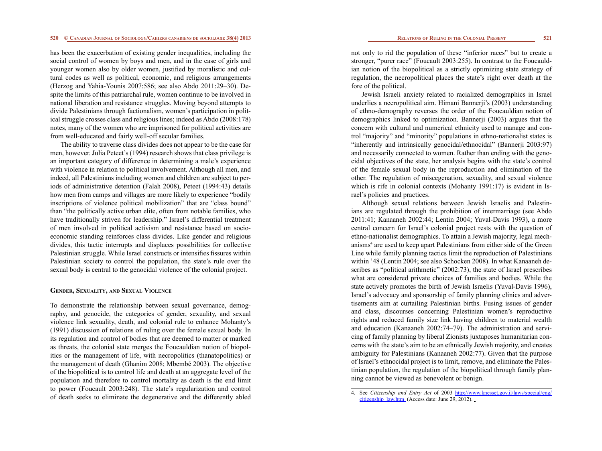has been the exacerbation of existing gender inequalities, including the social control of women by boys and men, and in the case of girls and younger women also by older women, justified by moralistic and cultural codes as well as political, economic, and religious arrangements (Herzog and Yahia-Younis 2007:586; see also Abdo 2011:29–30). Despite the limits of this patriarchal rule, women continue to be involved in national liberation and resistance struggles. Moving beyond attempts to divide Palestinians through factionalism, women's participation in political struggle crosses class and religious lines; indeed as Abdo (2008:178) notes, many of the women who are imprisoned for political activities are from well-educated and fairly well-off secular families.

The ability to traverse class divides does not appear to be the case for men, however. Julia Peteet's (1994) research shows that class privilege is an important category of difference in determining a male's experience with violence in relation to political involvement. Although all men, and indeed, all Palestinians including women and children are subject to periods of administrative detention (Falah 2008), Peteet (1994:43) details how men from camps and villages are more likely to experience "bodily inscriptions of violence political mobilization" that are "class bound" than "the politically active urban elite, often from notable families, who have traditionally striven for leadership." Israel's differential treatment of men involved in political activism and resistance based on socioeconomic standing reinforces class divides. Like gender and religious divides, this tactic interrupts and displaces possibilities for collective Palestinian struggle. While Israel constructs or intensifies fissures within Palestinian society to control the population, the state's rule over the sexual body is central to the genocidal violence of the colonial project.

# **Gender, Sexuality, and Sexual Violence**

To demonstrate the relationship between sexual governance, demography, and genocide, the categories of gender, sexuality, and sexual violence link sexuality, death, and colonial rule to enhance Mohanty's (1991) discussion of relations of ruling over the female sexual body. In its regulation and control of bodies that are deemed to matter or marked as threats, the colonial state merges the Foucauldian notion of biopolitics or the management of life, with necropolitics (thanatopolitics) or the management of death (Ghanim 2008; Mbembé 2003). The objective of the biopolitical is to control life and death at an aggregate level of the population and therefore to control mortality as death is the end limit to power (Foucault 2003:248). The state's regularization and control of death seeks to eliminate the degenerative and the differently abled

not only to rid the population of these "inferior races" but to create a stronger, "purer race" (Foucault 2003:255). In contrast to the Foucauldian notion of the biopolitical as a strictly optimizing state strategy of regulation, the necropolitical places the state's right over death at the fore of the political.

Jewish Israeli anxiety related to racialized demographics in Israel underlies a necropolitical aim. Himani Bannerji's (2003) understanding of ethno-demography reverses the order of the Foucauldian notion of demographics linked to optimization. Bannerji (2003) argues that the concern with cultural and numerical ethnicity used to manage and control "majority" and "minority" populations in ethno-nationalist states is "inherently and intrinsically genocidal/ethnocidal" (Bannerji 2003:97) and necessarily connected to women. Rather than ending with the genocidal objectives of the state, her analysis begins with the state's control of the female sexual body in the reproduction and elimination of the other. The regulation of miscegenation, sexuality, and sexual violence which is rife in colonial contexts (Mohanty 1991:17) is evident in Israel's policies and practices.

Although sexual relations between Jewish Israelis and Palestinians are regulated through the prohibition of intermarriage (see Abdo 2011:41; Kanaaneh 2002:44; Lentin 2004; Yuval-Davis 1993), a more central concern for Israel's colonial project rests with the question of ethno-nationalist demographics. To attain a Jewish majority, legal mechanisms<sup>4</sup> are used to keep apart Palestinians from either side of the Green Line while family planning tactics limit the reproduction of Palestinians within '48 (Lentin 2004; see also Schocken 2008). In what Kanaaneh describes as "political arithmetic" (2002:73), the state of Israel prescribes what are considered private choices of families and bodies. While the state actively promotes the birth of Jewish Israelis (Yuval-Davis 1996), Israel's advocacy and sponsorship of family planning clinics and advertisements aim at curtailing Palestinian births. Fusing issues of gender and class, discourses concerning Palestinian women's reproductive rights and reduced family size link having children to material wealth and education (Kanaaneh 2002:74–79). The administration and servicing of family planning by liberal Zionists juxtaposes humanitarian concerns with the state's aim to be an ethnically Jewish majority, and creates ambiguity for Palestinians (Kanaaneh 2002:77). Given that the purpose of Israel's ethnocidal project is to limit, remove, and eliminate the Palestinian population, the regulation of the biopolitical through family planning cannot be viewed as benevolent or benign.

<sup>4.</sup> See *Citizenship and Entry Act* of 2003 [http://www.knesset.gov.il/laws/special/eng/](http://www.knesset.gov.il/laws/special/eng/citizenship_law.htm  ) [citizenship\\_law.htm](http://www.knesset.gov.il/laws/special/eng/citizenship_law.htm  ) (Access date: June 29, 2012).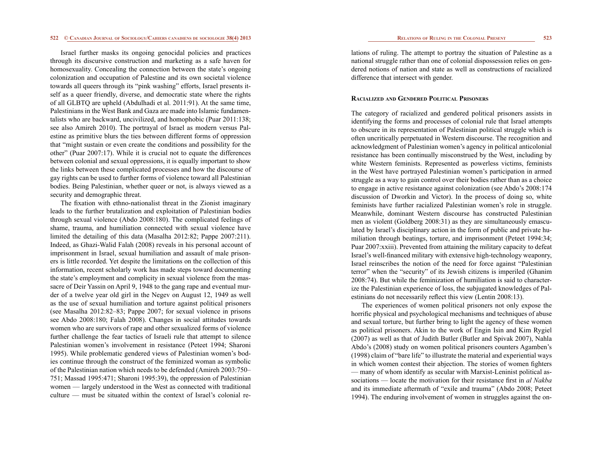Israel further masks its ongoing genocidal policies and practices through its discursive construction and marketing as a safe haven for homosexuality. Concealing the connection between the state's ongoing colonization and occupation of Palestine and its own societal violence towards all queers through its "pink washing" efforts, Israel presents itself as a queer friendly, diverse, and democratic state where the rights of all GLBTQ are upheld (Abdulhadi et al. 2011:91). At the same time, Palestinians in the West Bank and Gaza are made into Islamic fundamentalists who are backward, uncivilized, and homophobic (Puar 2011:138; see also Amireh 2010). The portrayal of Israel as modern versus Palestine as primitive blurs the ties between different forms of oppression that "might sustain or even create the conditions and possibility for the other" (Puar 2007:17). While it is crucial not to equate the differences between colonial and sexual oppressions, it is equally important to show the links between these complicated processes and how the discourse of gay rights can be used to further forms of violence toward all Palestinian bodies. Being Palestinian, whether queer or not, is always viewed as a security and demographic threat.

The fixation with ethno-nationalist threat in the Zionist imaginary leads to the further brutalization and exploitation of Palestinian bodies through sexual violence (Abdo 2008:180). The complicated feelings of shame, trauma, and humiliation connected with sexual violence have limited the detailing of this data (Masalha 2012:82; Pappe 2007:211). Indeed, as Ghazi-Walid Falah (2008) reveals in his personal account of imprisonment in Israel, sexual humiliation and assault of male prisoners is little recorded. Yet despite the limitations on the collection of this information, recent scholarly work has made steps toward documenting the state's employment and complicity in sexual violence from the massacre of Deir Yassin on April 9, 1948 to the gang rape and eventual murder of a twelve year old girl in the Negev on August 12, 1949 as well as the use of sexual humiliation and torture against political prisoners (see Masalha 2012:82–83; Pappe 2007; for sexual violence in prisons see Abdo 2008:180; Falah 2008). Changes in social attitudes towards women who are survivors of rape and other sexualized forms of violence further challenge the fear tactics of Israeli rule that attempt to silence Palestinian women's involvement in resistance (Peteet 1994; Sharoni 1995). While problematic gendered views of Palestinian women's bodies continue through the construct of the feminized woman as symbolic of the Palestinian nation which needs to be defended (Amireh 2003:750– 751; Massad 1995:471; Sharoni 1995:39), the oppression of Palestinian women — largely understood in the West as connected with traditional culture — must be situated within the context of Israel's colonial re-

lations of ruling. The attempt to portray the situation of Palestine as a national struggle rather than one of colonial dispossession relies on gendered notions of nation and state as well as constructions of racialized difference that intersect with gender.

### **Racialized and Gendered Political Prisoners**

The category of racialized and gendered political prisoners assists in identifying the forms and processes of colonial rule that Israel attempts to obscure in its representation of Palestinian political struggle which is often uncritically perpetuated in Western discourse. The recognition and acknowledgment of Palestinian women's agency in political anticolonial resistance has been continually misconstrued by the West, including by white Western feminists. Represented as powerless victims, feminists in the West have portrayed Palestinian women's participation in armed struggle as a way to gain control over their bodies rather than as a choice to engage in active resistance against colonization (see Abdo's 2008:174 discussion of Dworkin and Victor). In the process of doing so, white feminists have further racialized Palestinian women's role in struggle. Meanwhile, dominant Western discourse has constructed Palestinian men as violent (Goldberg 2008:31) as they are simultaneously emasculated by Israel's disciplinary action in the form of public and private humiliation through beatings, torture, and imprisonment (Peteet 1994:34; Puar 2007:xxiii). Prevented from attaining the military capacity to defeat Israel's well-financed military with extensive high-technology weaponry, Israel reinscribes the notion of the need for force against "Palestinian terror" when the "security" of its Jewish citizens is imperiled (Ghanim 2008:74). But while the feminization of humiliation is said to characterize the Palestinian experience of loss, the subjugated knowledges of Palestinians do not necessarily reflect this view (Lentin 2008:13).

The experiences of women political prisoners not only expose the horrific physical and psychological mechanisms and techniques of abuse and sexual torture, but further bring to light the agency of these women as political prisoners. Akin to the work of Engin Isin and Kim Rygiel (2007) as well as that of Judith Butler (Butler and Spivak 2007), Nahla Abdo's (2008) study on women political prisoners counters Agamben's (1998) claim of "bare life" to illustrate the material and experiential ways in which women contest their abjection. The stories of women fighters — many of whom identify as secular with Marxist-Leninist political associations — locate the motivation for their resistance first in *al Nakba* and its immediate aftermath of "exile and trauma" (Abdo 2008; Peteet 1994). The enduring involvement of women in struggles against the on-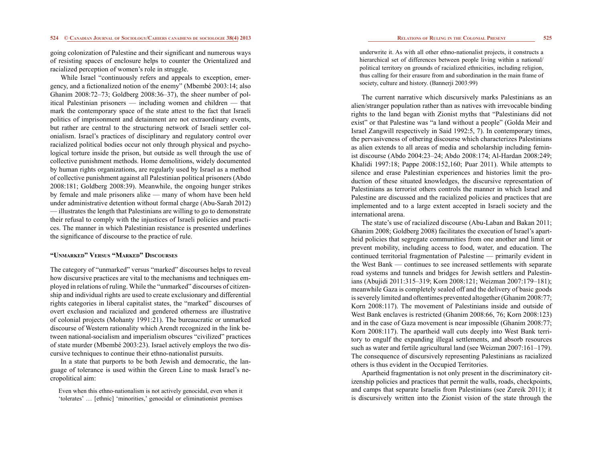going colonization of Palestine and their significant and numerous ways of resisting spaces of enclosure helps to counter the Orientalized and racialized perception of women's role in struggle.

While Israel "continuously refers and appeals to exception, emergency, and a fictionalized notion of the enemy" (Mbembé 2003:14; also Ghanim 2008:72–73; Goldberg 2008:36–37), the sheer number of political Palestinian prisoners — including women and children — that mark the contemporary space of the state attest to the fact that Israeli politics of imprisonment and detainment are not extraordinary events, but rather are central to the structuring network of Israeli settler colonialism. Israel's practices of disciplinary and regulatory control over racialized political bodies occur not only through physical and psychological torture inside the prison, but outside as well through the use of collective punishment methods. Home demolitions, widely documented by human rights organizations, are regularly used by Israel as a method of collective punishment against all Palestinian political prisoners (Abdo 2008:181; Goldberg 2008:39). Meanwhile, the ongoing hunger strikes by female and male prisoners alike — many of whom have been held under administrative detention without formal charge (Abu-Sarah 2012) — illustrates the length that Palestinians are willing to go to demonstrate their refusal to comply with the injustices of Israeli policies and practices. The manner in which Palestinian resistance is presented underlines the significance of discourse to the practice of rule.

# **"Unmarked" Versus "Marked" Discourses**

The category of "unmarked" versus "marked" discourses helps to reveal how discursive practices are vital to the mechanisms and techniques employed in relations of ruling. While the "unmarked" discourses of citizenship and individual rights are used to create exclusionary and differential rights categories in liberal capitalist states, the "marked" discourses of overt exclusion and racialized and gendered otherness are illustrative of colonial projects (Mohanty 1991:21). The bureaucratic or unmarked discourse of Western rationality which Arendt recognized in the link between national-socialism and imperialism obscures "civilized" practices of state murder (Mbembé 2003:23). Israel actively employs the two discursive techniques to continue their ethno-nationalist pursuits.

In a state that purports to be both Jewish and democratic, the language of tolerance is used within the Green Line to mask Israel's necropolitical aim:

Even when this ethno-nationalism is not actively genocidal, even when it 'tolerates' … [ethnic] 'minorities,' genocidal or eliminationist premises underwrite it. As with all other ethno-nationalist projects, it constructs a hierarchical set of differences between people living within a national/ political territory on grounds of racialized ethnicities, including religion, thus calling for their erasure from and subordination in the main frame of society, culture and history. (Bannerji 2003:99)

The current narrative which discursively marks Palestinians as an alien/stranger population rather than as natives with irrevocable binding rights to the land began with Zionist myths that "Palestinians did not exist" or that Palestine was "a land without a people" (Golda Meir and Israel Zangwill respectively in Said 1992:5, 7). In contemporary times, the pervasiveness of othering discourse which characterizes Palestinians as alien extends to all areas of media and scholarship including feminist discourse (Abdo 2004:23–24; Abdo 2008:174; Al-Hardan 2008:249; Khalidi 1997:18; Pappe 2008:152,160; Puar 2011). While attempts to silence and erase Palestinian experiences and histories limit the production of these situated knowledges, the discursive representation of Palestinians as terrorist others controls the manner in which Israel and Palestine are discussed and the racialized policies and practices that are implemented and to a large extent accepted in Israeli society and the international arena.

The state's use of racialized discourse (Abu-Laban and Bakan 2011; Ghanim 2008; Goldberg 2008) facilitates the execution of Israel's apartheid policies that segregate communities from one another and limit or prevent mobility, including access to food, water, and education. The continued territorial fragmentation of Palestine — primarily evident in the West Bank — continues to see increased settlements with separate road systems and tunnels and bridges for Jewish settlers and Palestinians (Abujidi 2011:315–319; Korn 2008:121; Weizman 2007:179–181); meanwhile Gaza is completely sealed off and the delivery of basic goods is severely limited and oftentimes prevented altogether (Ghanim 2008:77; Korn 2008:117). The movement of Palestinians inside and outside of West Bank enclaves is restricted (Ghanim 2008:66, 76; Korn 2008:123) and in the case of Gaza movement is near impossible (Ghanim 2008:77; Korn 2008:117). The apartheid wall cuts deeply into West Bank territory to engulf the expanding illegal settlements, and absorb resources such as water and fertile agricultural land (see Weizman 2007:161–179). The consequence of discursively representing Palestinians as racialized others is thus evident in the Occupied Territories.

Apartheid fragmentation is not only present in the discriminatory citizenship policies and practices that permit the walls, roads, checkpoints, and camps that separate Israelis from Palestinians (see Zureik 2011); it is discursively written into the Zionist vision of the state through the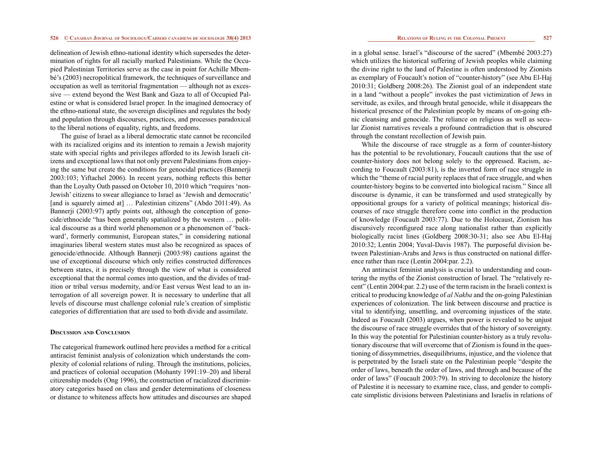delineation of Jewish ethno-national identity which supersedes the determination of rights for all racially marked Palestinians. While the Occupied Palestinian Territories serve as the case in point for Achille Mbembé's (2003) necropolitical framework, the techniques of surveillance and occupation as well as territorial fragmentation — although not as excessive — extend beyond the West Bank and Gaza to all of Occupied Palestine or what is considered Israel proper. In the imagined democracy of the ethno-national state, the sovereign disciplines and regulates the body and population through discourses, practices, and processes paradoxical to the liberal notions of equality, rights, and freedoms.

The guise of Israel as a liberal democratic state cannot be reconciled with its racialized origins and its intention to remain a Jewish majority state with special rights and privileges afforded to its Jewish Israeli citizens and exceptional laws that not only prevent Palestinians from enjoying the same but create the conditions for genocidal practices (Bannerji 2003:103; Yiftachel 2006). In recent years, nothing reflects this better than the Loyalty Oath passed on October 10, 2010 which "requires 'non-Jewish' citizens to swear allegiance to Israel as 'Jewish and democratic' [and is squarely aimed at] ... Palestinian citizens" (Abdo 2011:49). As Bannerji (2003:97) aptly points out, although the conception of genocide/ethnocide "has been generally spatialized by the western … political discourse as a third world phenomenon or a phenomenon of 'backward', formerly communist, European states," in considering national imaginaries liberal western states must also be recognized as spaces of genocide/ethnocide. Although Bannerji (2003:98) cautions against the use of exceptional discourse which only reifies constructed differences between states, it is precisely through the view of what is considered exceptional that the normal comes into question, and the divides of tradition or tribal versus modernity, and/or East versus West lead to an interrogation of all sovereign power. It is necessary to underline that all levels of discourse must challenge colonial rule's creation of simplistic categories of differentiation that are used to both divide and assimilate.

# **Discussion and Conclusion**

The categorical framework outlined here provides a method for a critical antiracist feminist analysis of colonization which understands the complexity of colonial relations of ruling. Through the institutions, policies, and practices of colonial occupation (Mohanty 1991:19–20) and liberal citizenship models (Ong 1996), the construction of racialized discriminatory categories based on class and gender determinations of closeness or distance to whiteness affects how attitudes and discourses are shaped in a global sense. Israel's "discourse of the sacred" (Mbembé 2003:27) which utilizes the historical suffering of Jewish peoples while claiming the divine right to the land of Palestine is often understood by Zionists as exemplary of Foucault's notion of "counter-history" (see Abu El-Haj 2010:31; Goldberg 2008:26). The Zionist goal of an independent state in a land "without a people" invokes the past victimization of Jews in servitude, as exiles, and through brutal genocide, while it disappears the historical presence of the Palestinian people by means of on-going ethnic cleansing and genocide. The reliance on religious as well as secular Zionist narratives reveals a profound contradiction that is obscured through the constant recollection of Jewish pain.

While the discourse of race struggle as a form of counter-history has the potential to be revolutionary, Foucault cautions that the use of counter-history does not belong solely to the oppressed. Racism, according to Foucault (2003:81), is the inverted form of race struggle in which the "theme of racial purity replaces that of race struggle, and when counter-history begins to be converted into biological racism." Since all discourse is dynamic, it can be transformed and used strategically by oppositional groups for a variety of political meanings; historical discourses of race struggle therefore come into conflict in the production of knowledge (Foucault 2003:77). Due to the Holocaust, Zionism has discursively reconfigured race along nationalist rather than explicitly biologically racist lines (Goldberg 2008:30-31; also see Abu El-Haj 2010:32; Lentin 2004; Yuval-Davis 1987). The purposeful division between Palestinian-Arabs and Jews is thus constructed on national difference rather than race (Lentin 2004:par. 2.2).

An antiracist feminist analysis is crucial to understanding and countering the myths of the Zionist construction of Israel. The "relatively recent" (Lentin 2004:par. 2.2) use of the term racism in the Israeli context is critical to producing knowledge of *al Nakba* and the on-going Palestinian experiences of colonization. The link between discourse and practice is vital to identifying, unsettling, and overcoming injustices of the state. Indeed as Foucault (2003) argues, when power is revealed to be unjust the discourse of race struggle overrides that of the history of sovereignty. In this way the potential for Palestinian counter-history as a truly revolutionary discourse that will overcome that of Zionism is found in the questioning of dissymmetries, disequilibriums, injustice, and the violence that is perpetrated by the Israeli state on the Palestinian people "despite the order of laws, beneath the order of laws, and through and because of the order of laws" (Foucault 2003:79). In striving to decolonize the history of Palestine it is necessary to examine race, class, and gender to complicate simplistic divisions between Palestinians and Israelis in relations of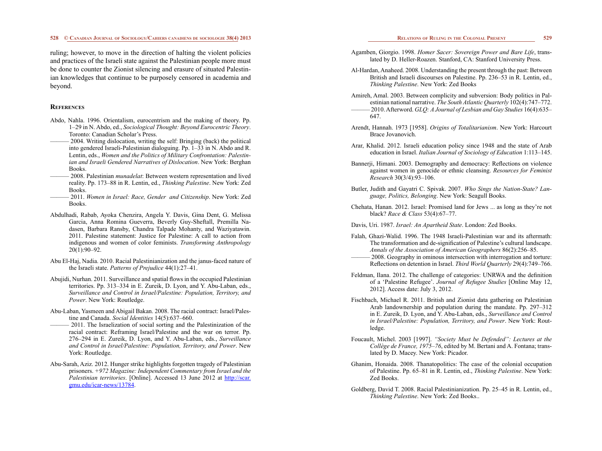ruling; however, to move in the direction of halting the violent policies and practices of the Israeli state against the Palestinian people more must be done to counter the Zionist silencing and erasure of situated Palestinian knowledges that continue to be purposely censored in academia and beyond.

### **References**

- Abdo, Nahla. 1996. Orientalism, eurocentrism and the making of theory. Pp. 1–29 in N. Abdo, ed., *Sociological Thought: Beyond Eurocentric Theory*. Toronto: Canadian Scholar's Press.
- 2004. Writing dislocation, writing the self: Bringing (back) the political into gendered Israeli-Palestinian dialoguing. Pp. 1–33 in N. Abdo and R. Lentin, eds., *Women and the Politics of Military Confrontation: Palestinian and Israeli Gendered Narratives of Dislocation*. New York: Berghan Books.
- ——— 2008. Palestinian *munadelat*: Between western representation and lived reality. Pp. 173–88 in R. Lentin, ed., *Thinking Palestine*. New York: Zed Books.
- ——— 2011. *Women in Israel: Race, Gender and Citizenship*. New York: Zed Books.
- Abdulhadi, Rabab, Ayoka Chenzira, Angela Y. Davis, Gina Dent, G. Melissa Garcia, Anna Romina Gueverra, Beverly Guy-Sheftall, Premilla Nadasen, Barbara Ransby, Chandra Talpade Mohanty, and Waziyatawin. 2011. Palestine statement: Justice for Palestine: A call to action from indigenous and women of color feminists. *Transforming Anthropology*  20(1):90–92.
- Abu El-Haj, Nadia. 2010. Racial Palestinianization and the janus-faced nature of the Israeli state. *Patterns of Prejudice* 44(1):27–41.
- Abujidi, Nurhan. 2011. Surveillance and spatial flows in the occupied Palestinian territories. Pp. 313–334 in E. Zureik, D. Lyon, and Y. Abu-Laban, eds., *Surveillance and Control in Israel/Palestine: Population, Territory, and Power*. New York: Routledge.
- Abu-Laban, Yasmeen and Abigail Bakan. 2008. The racial contract: Israel/Palestine and Canada. *Social Identities* 14(5):637–660.
- 2011. The Israelization of social sorting and the Palestinization of the racial contract: Reframing Israel/Palestine and the war on terror. Pp. 276–294 in E. Zureik, D. Lyon, and Y. Abu-Laban, eds., *Surveillance and Control in Israel/Palestine: Population, Territory, and Power*. New York: Routledge.
- Abu-Sarah, Aziz. 2012. Hunger strike highlights forgotten tragedy of Palestinian prisoners. *[+972 Magazine: Independent Commentary from Israel and the](http://scar.gmu.edu/publisher-publication/10725) [Palestinian territories](http://scar.gmu.edu/publisher-publication/10725)*. [Online]. Accessed 13 June 2012 at [http://scar.](http://scar.gmu.edu/icar-news/13784) [gmu.edu/icar-news/13784.](http://scar.gmu.edu/icar-news/13784)

- Agamben, Giorgio. 1998. *Homer Sacer: Sovereign Power and Bare Life*, translated by D. Heller-Roazen. Stanford, CA: Stanford University Press.
- Al-Hardan, Anaheed. 2008. Understanding the present through the past: Between British and Israeli discourses on Palestine. Pp. 236–53 in R. Lentin, ed., *Thinking Palestine*. New York: Zed Books
- Amireh, Amal. 2003. Between complicity and subversion: Body politics in Palestinian national narrative. *The South Atlantic Quarterly* 102(4):747–772. ——— 2010. Afterword. *GLQ: A Journal of Lesbian and Gay Studies* 16(4):635– 647.
- Arendt, Hannah. 1973 [1958]. *Origins of Totalitarianism*. New York: Harcourt Brace Jovanovich.
- Arar, Khalid. 2012. Israeli education policy since 1948 and the state of Arab education in Israel. *Italian Journal of Sociology of Education* 1:113–145.
- Bannerji, Himani. 2003. Demography and democracy: Reflections on violence against women in genocide or ethnic cleansing. *Resources for Feminist Research* 30(3/4):93–106.
- Butler, Judith and Gayatri C. Spivak. 2007. *Who Sings the Nation-State? Language, Politics, Belonging*. New York: Seagull Books.
- Chehata, Hanan. 2012. Israel: Promised land for Jews ... as long as they're not black? *Race & Class* 53(4):67–77.
- Davis, Uri. 1987. *Israel: An Apartheid State*. London: Zed Books.
- Falah, Ghazi-Walid. 1996. The 1948 Israeli-Palestinian war and its aftermath: The transformation and de-signification of Palestine's cultural landscape. *Annals of the Association of American Geographers* 86(2):256–85.
	- $-2008$ . Geography in ominous intersection with interrogation and torture: Reflections on detention in Israel. *Third World Quarterly* 29(4):749–766.
- Feldman, Ilana. 2012. The challenge of categories: UNRWA and the definition of a 'Palestine Refugee'. *Journal of Refugee Studies* [Online May 12, 2012]. Access date: July 3, 2012.
- Fischbach, Michael R. 2011. British and Zionist data gathering on Palestinian Arab landownership and population during the mandate. Pp. 297–312 in E. Zureik, D. Lyon, and Y. Abu-Laban, eds., *Surveillance and Control in Israel/Palestine: Population, Territory, and Power*. New York: Routledge.
- Foucault, Michel. 2003 [1997]. *"Society Must be Defended": Lectures at the Collège de France, 1975–76*, edited by M. Bertani and A. Fontana; translated by D. Macey. New York: Picador.
- Ghanim, Honaida. 2008. Thanatopolitics: The case of the colonial occupation of Palestine. Pp. 65–81 in R. Lentin, ed., *Thinking Palestine*. New York: Zed Books.
- Goldberg, David T. 2008. Racial Palestinianization. Pp. 25–45 in R. Lentin, ed., *Thinking Palestine*. New York: Zed Books..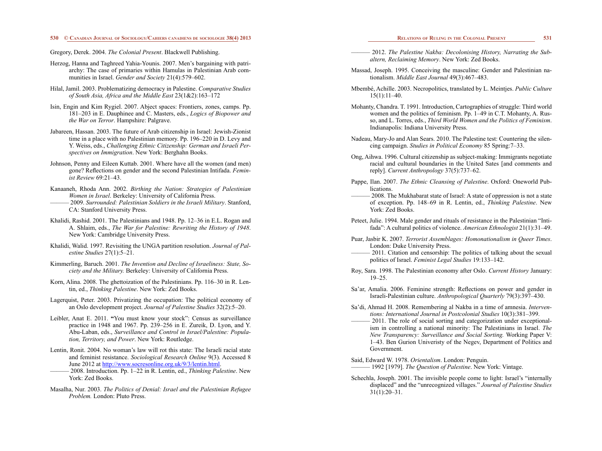### Gregory, Derek. 2004. *The Colonial Present*. Blackwell Publishing.

Herzog, Hanna and Taghreed Yahia-Younis. 2007. Men's bargaining with patriarchy: The case of primaries within Hamulas in Palestinian Arab communities in Israel. *Gender and Society* 21(4):579–602.

- Hilal, Jamil. 2003. Problematizing democracy in Palestine. *Comparative Studies of South Asia, Africa and the Middle East* 23(1&2):163–172
- Isin, Engin and Kim Rygiel. 2007. Abject spaces: Frontiers, zones, camps. Pp. 181–203 in E. Dauphinee and C. Masters, eds., *Logics of Biopower and the War on Terror*. Hampshire: Palgrave.
- Jabareen, Hassan. 2003. The future of Arab citizenship in Israel: Jewish-Zionist time in a place with no Palestinian memory. Pp. 196–220 in D. Levy and Y. Weiss, eds., *Challenging Ethnic Citizenship: German and Israeli Perspectives on Immigration*. New York: Berghahn Books.
- Johnson, Penny and Eileen Kuttab. 2001. Where have all the women (and men) gone? Reflections on gender and the second Palestinian Intifada. *Feminist Review* 69:21–43.
- Kanaaneh, Rhoda Ann. 2002. *Birthing the Nation: Strategies of Palestinian Women in Israel*. Berkeley: University of California Press. ——— 2009. *Surrounded: Palestinian Soldiers in the Israeli Military*. Stanford, CA: Stanford University Press.
- Khalidi, Rashid. 2001. The Palestinians and 1948. Pp. 12–36 in E.L. Rogan and A. Shlaim, eds., *The War for Palestine: Rewriting the History of 1948*. New York: Cambridge University Press.
- Khalidi, Walid. 1997. Revisiting the UNGA partition resolution. *Journal of Palestine Studies* 27(1):5–21.
- Kimmerling, Baruch. 2001. *The Invention and Decline of Israeliness: State, Society and the Military.* Berkeley: University of California Press.
- Korn, Alina. 2008. The ghettoization of the Palestinians. Pp. 116–30 in R. Lentin, ed., *Thinking Palestine*. New York: Zed Books.
- Lagerquist, Peter. 2003. Privatizing the occupation: The political economy of an Oslo development project. *Journal of Palestine Studies* 32(2):5–20.
- Leibler, Anat E. 2011. **"**You must know your stock": Census as surveillance practice in 1948 and 1967. Pp. 239–256 in E. Zureik, D. Lyon, and Y. Abu-Laban, eds., *Surveillance and Control in Israel/Palestine: Population, Territory, and Power*. New York: Routledge.
- Lentin, Ronit. 2004. No woman's law will rot this state: The Israeli racial state and feminist resistance. *Sociological Research Online* 9(3). Accessed 8 June 2012 at <http://www.socresonline.org.uk/9/3/lentin.html>.
- ——— 2008. Introduction. Pp. 1–22 in R. Lentin, ed., *Thinking Palestine*. New York: Zed Books.
- Masalha, Nur. 2003. *The Politics of Denial: Israel and the Palestinian Refugee Problem.* London: Pluto Press.

- $-2012$ . The Palestine Nakba: Decolonising History, Narrating the Sub*altern, Reclaiming Memory*. New York: Zed Books.
- Massad, Joseph. 1995. Conceiving the masculine: Gender and Palestinian nationalism. *Middle East Journal* 49(3):467–483.
- Mbembé, Achille. 2003. Necropolitics, translated by L. Meintjes. *Public Culture* 15(1):11–40.
- Mohanty, Chandra. T. 1991. Introduction, Cartographies of struggle: Third world women and the politics of feminism. Pp. 1–49 in C.T. Mohanty, A. Russo, and L. Torres, eds., *Third World Women and the Politics of Feminism*. Indianapolis: Indiana University Press.
- Nadeau, Mary-Jo and Alan Sears. 2010. The Palestine test: Countering the silencing campaign. *Studies in Political Economy* 85 Spring:7–33.
- Ong, Aihwa. 1996. Cultural citizenship as subject-making: Immigrants negotiate racial and cultural boundaries in the United Sates [and comments and reply]. *Current Anthropology* 37(5):737–62.
- Pappe, Ilan. 2007. *The Ethnic Cleansing of Palestine*. Oxford: Oneworld Publications.
	- 2008. The Mukhabarat state of Israel: A state of oppression is not a state of exception. Pp. 148–69 in R. Lentin, ed., *Thinking Palestine*. New York: Zed Books.
- Peteet, Julie. 1994. Male gender and rituals of resistance in the Palestinian "Intifada": A cultural politics of violence. *American Ethnologist* 21(1):31–49.
- Puar, Jasbir K. 2007. *Terrorist Assemblages: Homonationalism in Queer Times*. London: Duke University Press.
	- 2011. Citation and censorship: The politics of talking about the sexual politics of Israel. *Feminist Legal Studies* 19:133–142.
- Roy, Sara. 1998. The Palestinian economy after Oslo. *Current History* January: 19–25.
- Sa'ar, Amalia. 2006. Feminine strength: Reflections on power and gender in Israeli-Palestinian culture. *Anthropological Quarterly* 79(3):397–430.
- Sa'di, Ahmad H. 2008. Remembering al Nakba in a time of amnesia. *Interventions: International Journal in Postcolonial Studies* 10(3):381–399.
- $-2011$ . The role of social sorting and categorization under exceptionalism in controlling a national minority: The Palestinians in Israel. *The New Transparency: Surveillance and Social Sorting.* Working Paper V: 1–43. Ben Gurion Univeristy of the Negev, Department of Politics and Government.
- Said, Edward W. 1978. *Orientalism*. London: Penguin. ——— 1992 [1979]. *The Question of Palestine*. New York: Vintage.
- Schechla, Joseph. 2001. The invisible people come to light: Israel's "internally displaced" and the "unrecognized villages." *Journal of Palestine Studies* 31(1):20–31.